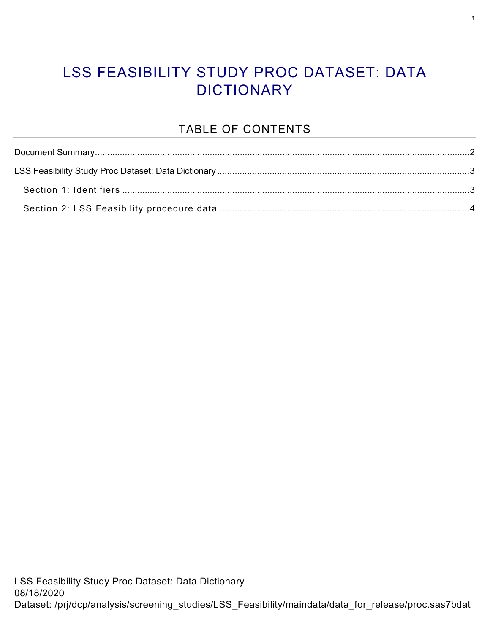#### LSS FEASIBILITY STUDY PROC DATASET: DATA **DICTIONARY**

#### TABLE OF CONTENTS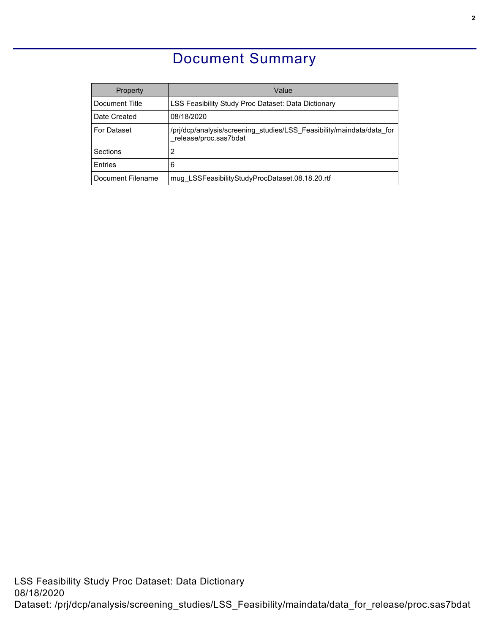### Document Summary

<span id="page-1-0"></span>

| Property           | Value                                                                                          |
|--------------------|------------------------------------------------------------------------------------------------|
| Document Title     | LSS Feasibility Study Proc Dataset: Data Dictionary                                            |
| Date Created       | 08/18/2020                                                                                     |
| <b>For Dataset</b> | /pri/dcp/analysis/screening studies/LSS Feasibility/maindata/data for<br>release/proc.sas7bdat |
| Sections           | 2                                                                                              |
| <b>F</b> ntries    | 6                                                                                              |
| Document Filename  | mug LSSFeasibilityStudyProcDataset.08.18.20.rtf                                                |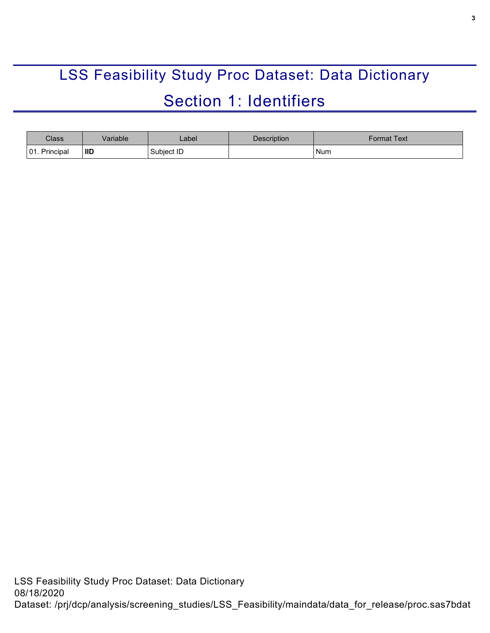# <span id="page-2-0"></span>LSS Feasibility Study Proc Dataset: Data Dictionary Section 1: Identifiers

<span id="page-2-1"></span>

| <b>Class</b>     | /ariable | _abel_     | <b>Description</b> | Format Text |
|------------------|----------|------------|--------------------|-------------|
| 01.<br>Principal | ' IID    | Subject ID |                    | Num         |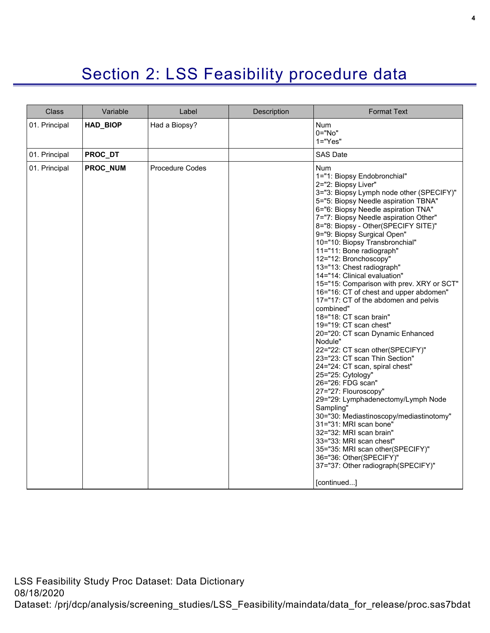## Section 2: LSS Feasibility procedure data

<span id="page-3-0"></span>

| <b>Class</b>  | Variable        | Label                  | Description | <b>Format Text</b>                                                                                                                                                                                                                                                                                                                                                                                                                                                                                                                                                                                                                                                                                                                                                                                                                                                                                                                                                                                                                                                                                                                                                       |
|---------------|-----------------|------------------------|-------------|--------------------------------------------------------------------------------------------------------------------------------------------------------------------------------------------------------------------------------------------------------------------------------------------------------------------------------------------------------------------------------------------------------------------------------------------------------------------------------------------------------------------------------------------------------------------------------------------------------------------------------------------------------------------------------------------------------------------------------------------------------------------------------------------------------------------------------------------------------------------------------------------------------------------------------------------------------------------------------------------------------------------------------------------------------------------------------------------------------------------------------------------------------------------------|
| 01. Principal | <b>HAD_BIOP</b> | Had a Biopsy?          |             | Num<br>$0="No"$<br>$1 = "Yes"$                                                                                                                                                                                                                                                                                                                                                                                                                                                                                                                                                                                                                                                                                                                                                                                                                                                                                                                                                                                                                                                                                                                                           |
| 01. Principal | PROC_DT         |                        |             | <b>SAS Date</b>                                                                                                                                                                                                                                                                                                                                                                                                                                                                                                                                                                                                                                                                                                                                                                                                                                                                                                                                                                                                                                                                                                                                                          |
| 01. Principal | <b>PROC NUM</b> | <b>Procedure Codes</b> |             | <b>Num</b><br>1="1: Biopsy Endobronchial"<br>2="2: Biopsy Liver"<br>3="3: Biopsy Lymph node other (SPECIFY)"<br>5="5: Biopsy Needle aspiration TBNA"<br>6="6: Biopsy Needle aspiration TNA"<br>7="7: Biopsy Needle aspiration Other"<br>8="8: Biopsy - Other(SPECIFY SITE)"<br>9="9: Biopsy Surgical Open"<br>10="10: Biopsy Transbronchial"<br>11="11: Bone radiograph"<br>12="12: Bronchoscopy"<br>13="13: Chest radiograph"<br>14="14: Clinical evaluation"<br>15="15: Comparison with prev. XRY or SCT"<br>16="16: CT of chest and upper abdomen"<br>17="17: CT of the abdomen and pelvis<br>combined"<br>18="18: CT scan brain"<br>19="19: CT scan chest"<br>20="20: CT scan Dynamic Enhanced<br>Nodule"<br>22="22: CT scan other(SPECIFY)"<br>23="23: CT scan Thin Section"<br>24="24: CT scan, spiral chest"<br>25="25: Cytology"<br>26="26: FDG scan"<br>27="27: Flouroscopy"<br>29="29: Lymphadenectomy/Lymph Node<br>Sampling"<br>30="30: Mediastinoscopy/mediastinotomy"<br>31="31: MRI scan bone"<br>32="32: MRI scan brain"<br>33="33: MRI scan chest"<br>35="35: MRI scan other(SPECIFY)"<br>36="36: Other(SPECIFY)"<br>37="37: Other radiograph(SPECIFY)" |
|               |                 |                        |             | [continued]                                                                                                                                                                                                                                                                                                                                                                                                                                                                                                                                                                                                                                                                                                                                                                                                                                                                                                                                                                                                                                                                                                                                                              |